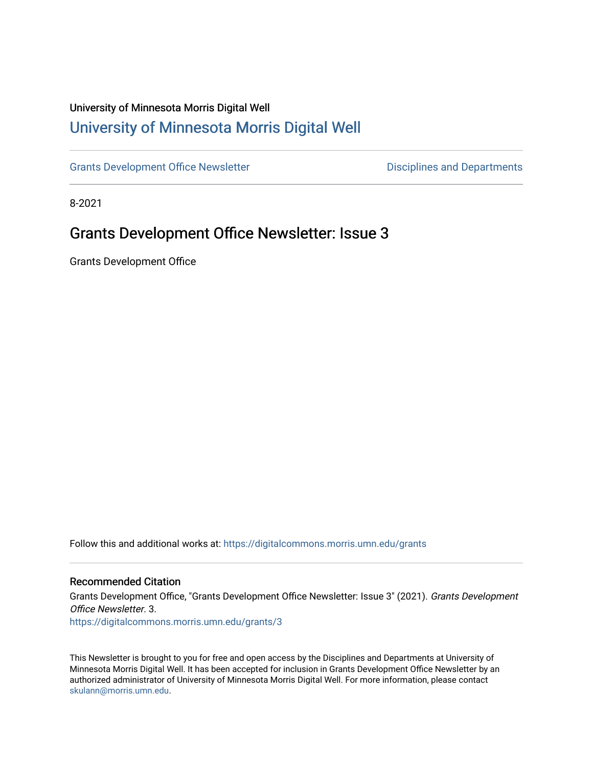## University of Minnesota Morris Digital Well [University of Minnesota Morris Digital Well](https://digitalcommons.morris.umn.edu/)

[Grants Development Office Newsletter](https://digitalcommons.morris.umn.edu/grants) **Disciplines and Departments** 

8-2021

# Grants Development Office Newsletter: Issue 3

Grants Development Office

Follow this and additional works at: [https://digitalcommons.morris.umn.edu/grants](https://digitalcommons.morris.umn.edu/grants?utm_source=digitalcommons.morris.umn.edu%2Fgrants%2F3&utm_medium=PDF&utm_campaign=PDFCoverPages) 

#### Recommended Citation

Grants Development Office, "Grants Development Office Newsletter: Issue 3" (2021). Grants Development Office Newsletter. 3.

[https://digitalcommons.morris.umn.edu/grants/3](https://digitalcommons.morris.umn.edu/grants/3?utm_source=digitalcommons.morris.umn.edu%2Fgrants%2F3&utm_medium=PDF&utm_campaign=PDFCoverPages)

This Newsletter is brought to you for free and open access by the Disciplines and Departments at University of Minnesota Morris Digital Well. It has been accepted for inclusion in Grants Development Office Newsletter by an authorized administrator of University of Minnesota Morris Digital Well. For more information, please contact [skulann@morris.umn.edu.](mailto:skulann@morris.umn.edu)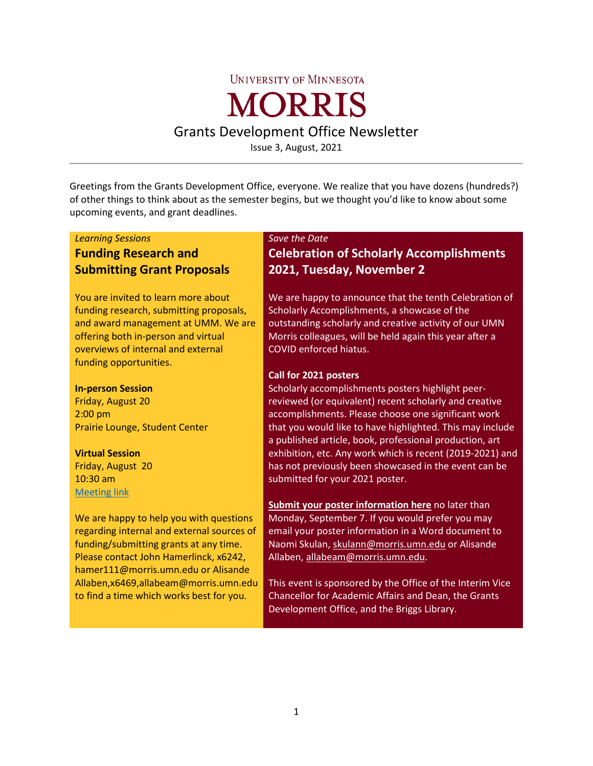#### **UNIVERSITY OF MINNESOTA**

# **MORRIS**

Grants Development Office Newsletter

Issue 3, August, 2021

Greetings from the Grants Development Office, everyone. We realize that you have dozens (hundreds?) of other things to think about as the semester begins, but we thought you'd like to know about some upcoming events, and grant deadlines.

#### *Learning Sessions*

## **Funding Research and Submitting Grant Proposals**

You are invited to learn more about funding research, submitting proposals, and award management at UMM. We are offering both in-person and virtual overviews of internal and external funding opportunities.

#### **In-person Session**

Friday, August 20 2:00 pm Prairie Lounge, Student Center

#### **Virtual Session**

Friday, August 20 10:30 am [Meeting link](https://www.google.com/url?q=https://umn.zoom.us/j/95491827278?pwd%3DM2RqWXlJVkZrelp4N2REYmNUOHNzUT09&sa=D&source=calendar&ust=1628613530986098&usg=AOvVaw0gRGIEPqof9xDsabq7SgZu)

We are happy to help you with questions regarding internal and external sources of funding/submitting grants at any time. Please contact John Hamerlinck, x6242, hamer111@morris.umn.edu or Alisande Allaben,x6469,allabeam@morris.umn.edu to find a time which works best for you.

#### *Save the Date*

## **Celebration of Scholarly Accomplishments 2021, Tuesday, November 2**

We are happy to announce that the tenth Celebration of Scholarly Accomplishments, a showcase of the outstanding scholarly and creative activity of our UMN Morris colleagues, will be held again this year after a COVID enforced hiatus.

#### **Call for 2021 posters**

Scholarly accomplishments posters highlight peerreviewed (or equivalent) recent scholarly and creative accomplishments. Please choose one significant work that you would like to have highlighted. This may include a published article, book, professional production, art exhibition, etc. Any work which is recent (2019-2021) and has not previously been showcased in the event can be submitted for your 2021 poster.

**[Submit your poster information](https://docs.google.com/forms/d/e/1FAIpQLScCexIEX1pOZg8ogvnuU3-_jR5HT2Nvi-3kMKaX2v0lpkQnwQ/viewform) [here](https://docs.google.com/forms/d/e/1FAIpQLScCexIEX1pOZg8ogvnuU3-_jR5HT2Nvi-3kMKaX2v0lpkQnwQ/viewform)** no later than Monday, September 7. If you would prefer you may email your poster information in a Word document to Naomi Skulan, [skulann@morris.umn.edu](mailto:skulann@morris.umn.edu) or Alisande Allaben, [allabeam@morris.umn.edu.](mailto:allabeam@morris.umn.edu)

This event is sponsored by the Office of the Interim Vice Chancellor for Academic Affairs and Dean, the Grants Development Office, and the Briggs Library.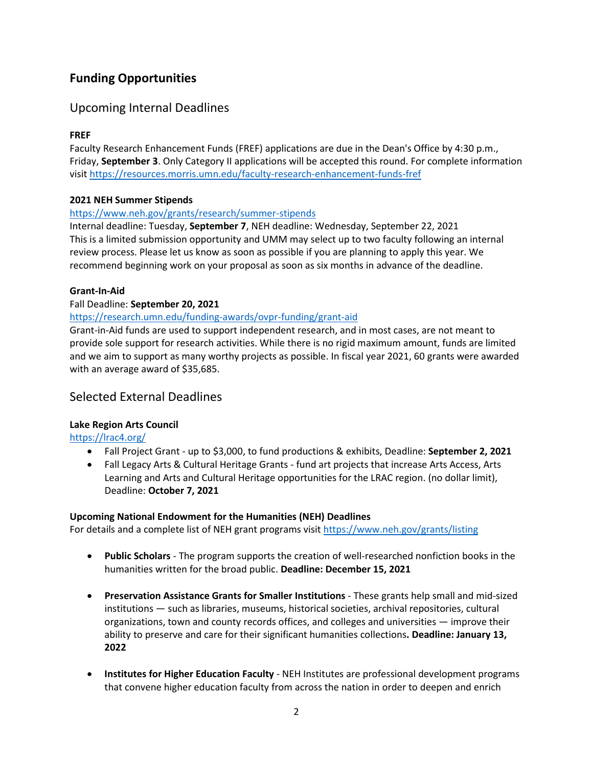## **Funding Opportunities**

## Upcoming Internal Deadlines

#### **FREF**

Faculty Research Enhancement Funds (FREF) applications are due in the Dean's Office by 4:30 p.m., Friday, **September 3**. Only Category II applications will be accepted this round. For complete information visi[t https://resources.morris.umn.edu/faculty-research-enhancement-funds-fref](https://resources.morris.umn.edu/faculty-research-enhancement-funds-fref)

#### **2021 NEH Summer Stipends**

#### <https://www.neh.gov/grants/research/summer-stipends>

Internal deadline: Tuesday, **September 7**, NEH deadline: Wednesday, September 22, 2021 This is a limited submission opportunity and UMM may select up to two faculty following an internal review process. Please let us know as soon as possible if you are planning to apply this year. We recommend beginning work on your proposal as soon as six months in advance of the deadline.

#### **Grant-In-Aid**

#### Fall Deadline: **September 20, 2021**

#### <https://research.umn.edu/funding-awards/ovpr-funding/grant-aid>

Grant-in-Aid funds are used to support independent research, and in most cases, are not meant to provide sole support for research activities. While there is no rigid maximum amount, funds are limited and we aim to support as many worthy projects as possible. In fiscal year 2021, 60 grants were awarded with an average award of \$35,685.

#### Selected External Deadlines

#### **Lake Region Arts Council**

#### <https://lrac4.org/>

- Fall Project Grant up to \$3,000, to fund productions & exhibits, Deadline: **September 2, 2021**
- Fall Legacy Arts & Cultural Heritage Grants fund art projects that increase Arts Access, Arts Learning and Arts and Cultural Heritage opportunities for the LRAC region. (no dollar limit), Deadline: **October 7, 2021**

#### **Upcoming National Endowment for the Humanities (NEH) Deadlines**

For details and a complete list of NEH grant programs visit<https://www.neh.gov/grants/listing>

- **Public Scholars** The program supports the creation of well-researched nonfiction books in the humanities written for the broad public. **Deadline: December 15, 2021**
- **Preservation Assistance Grants for Smaller Institutions** These grants help small and mid-sized institutions — such as libraries, museums, historical societies, archival repositories, cultural organizations, town and county records offices, and colleges and universities — improve their ability to preserve and care for their significant humanities collections**. Deadline: January 13, 2022**
- **Institutes for Higher Education Faculty** NEH Institutes are professional development programs that convene higher education faculty from across the nation in order to deepen and enrich